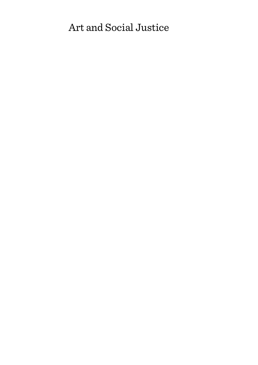# Art and Social Justice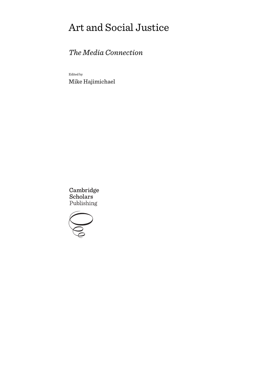# Art and Social Justice

# *The Media Connection*

Edited by Mike Hajimichael

Cambridge Scholars Publishing

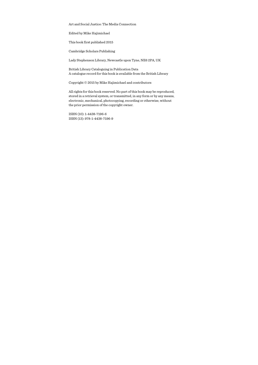Art and Social Justice: The Media Connection

Edited by Mike Hajimichael

This book first published 2015

Cambridge Scholars Publishing

Lady Stephenson Library, Newcastle upon Tyne, NE6 2PA, UK

British Library Cataloguing in Publication Data A catalogue record for this book is available from the British Library

Copyright © 2015 by Mike Hajimichael and contributors

All rights for this book reserved. No part of this book may be reproduced, stored in a retrieval system, or transmitted, in any form or by any means, electronic, mechanical, photocopying, recording or otherwise, without the prior permission of the copyright owner.

ISBN (10): 1-4438-7196-6 ISBN (13): 978-1-4438-7196-9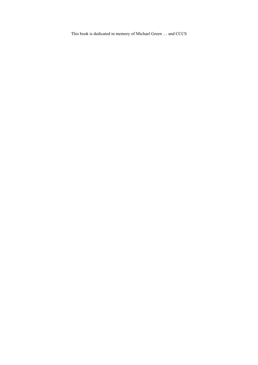This book is dedicated in memory of Michael Green … and CCCS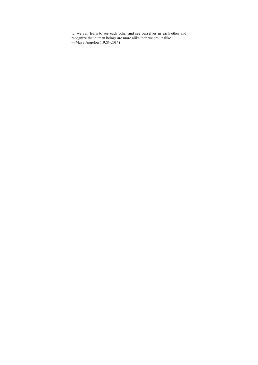… we can learn to see each other and see ourselves in each other and recognize that human beings are more alike than we are unalike … —Maya Angelou (1928–2014)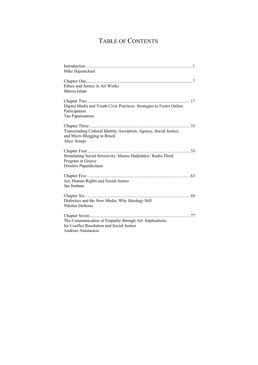# TABLE OF CONTENTS

| Mike Hajimichael                                                                      |
|---------------------------------------------------------------------------------------|
|                                                                                       |
| Ethics and Justice in Art Works                                                       |
| Manzu Islam                                                                           |
|                                                                                       |
| Digital Media and Youth Civic Practices: Strategies to Foster Online<br>Participation |
| Tao Papaioannou                                                                       |
|                                                                                       |
| Transcending Cultural Identity Ascription: Agency, Social Justice,                    |
| and Micro Blogging in Brazil                                                          |
| Alice Araujo                                                                          |
|                                                                                       |
| Stimulating Social Sensitivity: Manos Hadjidakis' Radio Third                         |
| Program in Greece                                                                     |
| Dimitris Papanikolaou                                                                 |
|                                                                                       |
| Art, Human Rights and Social Justice                                                  |
| Jan Jordaan                                                                           |
|                                                                                       |
| Dialectics and the New Media: Why Ideology Still                                      |
| Nikolas Defteras                                                                      |
|                                                                                       |
| The Communication of Empathy through Art: Implications                                |
| for Conflict Resolution and Social Justice                                            |
| Andreas Anastasiou                                                                    |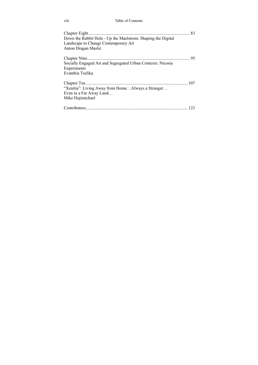viii Table of Contents

| Down the Rabbit Hole - Up the Maelstrom: Shaping the Digital<br>Landscape to Change Contemporary Art<br>Anton Dragan Maslić |  |
|-----------------------------------------------------------------------------------------------------------------------------|--|
| Socially Engaged Art and Segregated Urban Contexts: Nicosia<br>Experiments<br>Evanthia Tselika                              |  |
| "Xenitia": Living Away from HomeAlways a Stranger<br>Even in a Far Away Land<br>Mike Hajimichael                            |  |
|                                                                                                                             |  |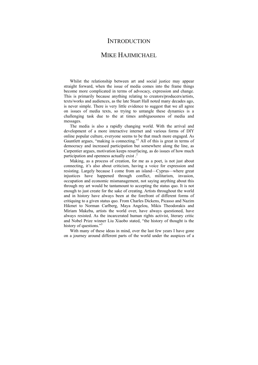### **INTRODUCTION**

## MIKE HAJIMICHAEL

Whilst the relationship between art and social justice may appear straight forward, when the issue of media comes into the frame things become more complicated in terms of advocacy, expression and change. This is primarily because anything relating to creators/producers/artists, texts/works and audiences, as the late Stuart Hall noted many decades ago, is never simple. There is very little evidence to suggest that we all agree on issues of media texts, so trying to untangle these dynamics is a challenging task due to the at times ambiguousness of media and messages.

The media is also a rapidly changing world. With the arrival and development of a more interactive internet and various forms of DIY online popular culture, everyone seems to be that much more engaged. As Gauntlett argues, "making is connecting."<sup>1</sup> All of this is great in terms of democracy and increased participation but somewhere along the line, as Carpentier argues, motivation keeps resurfacing, as do issues of how much participation and openness actually exist.<sup>2</sup>

Making, as a process of creation, for me as a poet, is not just about connecting, it's also about criticism, having a voice for expression and resisting. Largely because I come from an island—Cyprus—where great injustices have happened through conflict, militarism, invasion, occupation and economic mismanagement, not saying anything about this through my art would be tantamount to accepting the status quo. It is not enough to just create for the sake of creating. Artists throughout the world and in history have always been at the forefront of different forms of critiquing to a given status quo. From Charles Dickens, Picasso and Nazim Hikmet to Norman Carlberg, Maya Angelou, Mikis Theodorakis and Miriam Makeba, artists the world over, have always questioned, have always resisted. As the incarcerated human rights activist, literary critic and Nobel Prize winner Liu Xiaobo stated, "the history of thought is the history of questions."<sup>3</sup>

With many of these ideas in mind, over the last few years I have gone on a journey around different parts of the world under the auspices of a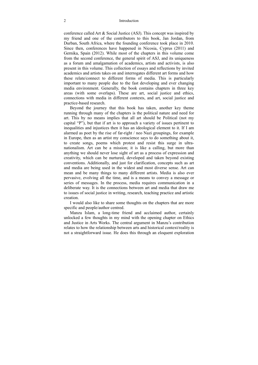#### 2 Introduction

conference called Art & Social Justice (ASJ). This concept was inspired by my friend and one of the contributors to this book, Jan Jordan, from Durban, South Africa, where the founding conference took place in 2010. Since then, conferences have happened in Nicosia, Cyprus (2011) and Gernika, Spain (2012). While most of the chapters in this volume come from the second conference, the general spirit of ASJ, and its uniqueness as a forum and amalgamation of academics, artists and activists, is also present in this volume. This collection of essays and reflections by invited academics and artists takes on and interrogates different art forms and how these relate/connect to different forms of media. This is particularly important to many people due to the fast developing and ever changing media environment. Generally, the book contains chapters in three key areas (with some overlaps). These are art, social justice and ethics, connections with media in different contexts, and art, social justice and practice-based research.

Beyond the journey that this book has taken, another key theme running through many of the chapters is the political nature and need for art. This by no means implies that all art should be Political (not my capital "P"), but that if art is to approach a variety of issues pertinent to inequalities and injustices then it has an ideological element to it. If I am alarmed as poet by the rise of far-right / neo Nazi groupings, for example in Europe, then as an artist my conscience says to do something about it, to create songs, poems which protest and resist this surge in ultranationalism. Art can be a mission; it is like a calling, but more than anything we should never lose sight of art as a process of expression and creativity, which can be nurtured, developed and taken beyond existing conventions. Additionally, and just for clarification, concepts such as art and media are being used in the widest and most diverse sense. Art can mean and be many things to many different artists. Media is also ever pervasive, evolving all the time, and is a means to convey a message or series of messages. In the process, media requires communication in a deliberate way. It is the connections between art and media that draw me to issues of social justice in writing, research, teaching practice and artistic creation.

I would also like to share some thoughts on the chapters that are more specific and people/author centred.

Manzu Islam, a long-time friend and acclaimed author, certainly unlocked a few thoughts in my mind with the opening chapter on Ethics and Justice in Arts Works. The central argument in Manzu's contribution relates to how the relationship between arts and historical context/reality is not a straightforward issue. He does this through an eloquent exploration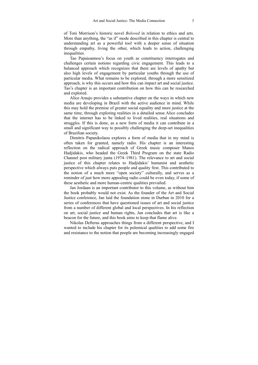of Toni Morrison's historic novel *Beloved* in relation to ethics and arts. More than anything, the "as if" mode described in this chapter is central to understanding art as a powerful tool with a deeper sense of situation through empathy, living the other, which leads to action, challenging inequalities.

Tao Papaioannou's focus on youth as constituency interrogates and challenges certain notions regarding civic engagement. This leads to a balanced approach which recognizes that there are levels of apathy but also high levels of engagement by particular youths through the use of particular media. What remains to be explored, through a more sensitized approach, is why this occurs and how this can impact art and social justice. Tao's chapter is an important contribution on how this can be researched and explored.

Alice Araujo provides a substantive chapter on the ways in which new media are developing in Brazil with the active audience in mind. While this may hold the premise of greater social equality and more justice at the same time, through exploring realities in a detailed sense Alice concludes that the internet has to be linked to lived realities, real situations and struggles. If this is done, as a new form of media it can contribute in a small and significant way to possibly challenging the deep-set inequalities of Brazilian society.

Dimitris Papanikolaou explores a form of media that in my mind is often taken for granted, namely radio. His chapter is an interesting reflection on the radical approach of Greek music composer Manos Hadjidakis, who headed the Greek Third Program on the state Radio Channel post military junta (1974–1981). The relevance to art and social justice of this chapter relates to Hadjidakis' humanist and aesthetic perspective which always puts people and quality first. This contributed to the notion of a much more "open society" culturally, and serves as a reminder of just how more appealing radio could be even today, if some of these aesthetic and more human-centric qualities prevailed.

Jan Jordaan is an important contributor to this volume, as without him the book probably would not exist. As the founder of the Art and Social Justice conference, Jan laid the foundation stone in Durban in 2010 for a series of conferences that have questioned issues of art and social justice from a number of different global and local perspectives. In his reflection on art, social justice and human rights, Jan concludes that art is like a beacon for the future, and this book aims to keep that flame alive.

Nikolas Defteras approaches things from a different perspective, and I wanted to include his chapter for its polemical qualities to add some fire and resistance to the notion that people are becoming increasingly engaged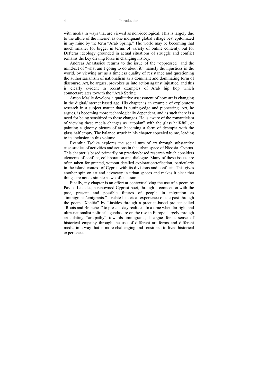#### 4 Introduction

with media in ways that are viewed as non-ideological. This is largely due to the allure of the internet as one indignant global village best epitomized in my mind by the term "Arab Spring." The world may be becoming that much smaller (or bigger in terms of variety of online content), but for Defteras ideology grounded in actual situations of struggle and conflict remains the key driving force in changing history.

Andreas Anastasiou returns to the issue of the "oppressed" and the mind-set of "what am I going to do about it," namely the injustices in the world, by viewing art as a timeless quality of resistance and questioning the authoritarianism of nationalism as a dominant and dominating form of discourse. Art, he argues, provokes us into action against injustice, and this is clearly evident in recent examples of Arab hip hop which connects/relates to/with the "Arab Spring."

Anton Maslić develops a qualitative assessment of how art is changing in the digital/internet based age. His chapter is an example of exploratory research in a subject matter that is cutting-edge and pioneering. Art, he argues, is becoming more technologically dependent, and as such there is a need for being sensitized to these changes. He is aware of the romanticism of viewing these media changes as "utopian" with the glass half-full, or painting a gloomy picture of art becoming a form of dystopia with the glass half empty. The balance struck in his chapter appealed to me, leading to its inclusion in this volume.

Evanthia Tselika explores the social turn of art through substantive case studies of activities and actions in the urban space of Nicosia, Cyprus. This chapter is based primarily on practice-based research which considers elements of conflict, collaboration and dialogue. Many of these issues are often taken for granted, without detailed exploration/reflection, particularly in the island context of Cyprus with its divisions and conflicts. This gives another spin on art and advocacy in urban spaces and makes it clear that things are not as simple as we often assume.

Finally, my chapter is an effort at contextualizing the use of a poem by Pavlos Liasides, a renowned Cypriot poet, through a connection with the past, present and possible futures of people in migration as "immigrants/emigrants." I relate historical experience of the past through the poem "Xenitia" by Liasides through a practice-based project called "Roots and Branches'' to present-day realities. In a time when far right and ultra-nationalist political agendas are on the rise in Europe, largely through articulating "antipathy" towards immigrants, I argue for a sense of historical empathy through the use of different art forms and different media in a way that is more challenging and sensitized to lived historical experiences.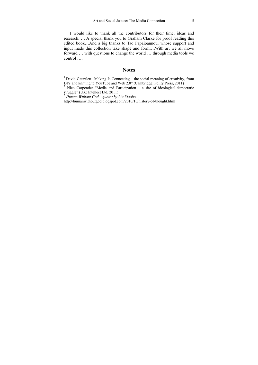I would like to thank all the contributors for their time, ideas and research. … A special thank you to Graham Clarke for proof reading this edited book…And a big thanks to Tao Papaioannou, whose support and input made this collection take shape and form….With art we all move forward … with questions to change the world … through media tools we control ….

#### **Notes**

<sup>2</sup> Nico Carpentier "Media and Participation – a site of ideological-democratic struggle" (UK: Intellect Ltd, 2011)

http://humanwithoutgod.blogspot.com/2010/10/history-of-thought.html

 $1$  David Gauntlett "Making Is Connecting – the social meaning of creativity, from DIY and knitting to YouTube and Web  $2.0$ " (Cambridge: Polity Press, 2011)

<sup>3</sup> *Human Without God – quotes by Liu Xiaobo*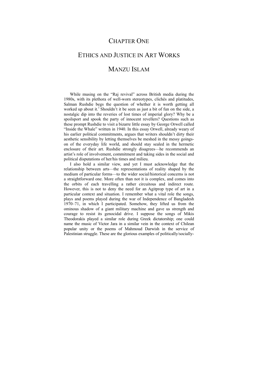## CHAPTER ONE

# ETHICS AND JUSTICE IN ART WORKS MANZU ISLAM

While musing on the "Raj revival" across British media during the 1980s, with its plethora of well-worn stereotypes, clichés and platitudes, Salman Rushdie begs the question of whether it is worth getting all worked up about it.<sup>1</sup> Shouldn't it be seen as just a bit of fun on the side, a nostalgic dip into the reveries of lost times of imperial glory? Why be a spoilsport and spook the party of innocent revellers? Questions such as these prompt Rushdie to visit a bizarre little essay by George Orwell called "Inside the Whale" written in 1940. In this essay Orwell, already weary of his earlier political commitments, argues that writers shouldn't dirty their aesthetic sensibility by letting themselves be meshed in the messy goingson of the everyday life world, and should stay sealed in the hermetic enclosure of their art. Rushdie strongly disagrees—he recommends an artist's role of involvement, commitment and taking sides in the social and political disputations of her/his times and milieu.

I also hold a similar view, and yet I must acknowledge that the relationship between arts—the representations of reality shaped by the medium of particular forms—to the wider social/historical concerns is not a straightforward one. More often than not it is complex, and comes into the orbits of each travelling a rather circuitous and indirect route. However, this is not to deny the need for an Agitprop type of art in a particular context and situation. I remember what a vital role the songs, plays and poems played during the war of Independence of Bangladesh 1970–71, in which I participated. Somehow, they lifted us from the ominous shadow of a giant military machine and gave us strength and courage to resist its genocidal drive. I suppose the songs of Mikis Theodorakis played a similar role during Greek dictatorship; one could name the music of Victor Jara in a similar vein in the context of Chilean popular unity or the poems of Mahmoud Darwish in the service of Palestinian struggle. These are the glorious examples of politically/socially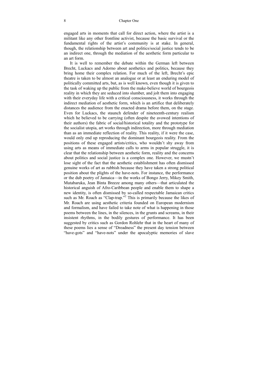engaged arts in moments that call for direct action, where the artist is a militant like any other frontline activist, because the basic survival or the fundamental rights of the artist's community is at stake. In general, though, the relationship between art and politics/social justice tends to be an indirect one, through the mediation of the aesthetic form particular to an art form.

It is well to remember the debate within the German left between Brecht, Luckacs and Adorno about aesthetics and politics, because they bring home their complex relation. For much of the left, Brecht's epic theatre is taken to be almost an analogue or at least an enduring model of politically committed arts, but, as is well known, even though it is given to the task of waking up the public from the make-believe world of bourgeois reality in which they are seduced into slumber, and jolt them into engaging with their everyday life with a critical consciousness, it works through the indirect mediation of aesthetic form, which is an artifice that deliberately distances the audience from the enacted drama before them, on the stage. Even for Luckacs, the staunch defender of nineteenth-century realism which he believed to be carrying (often despite the avowed intentions of their authors) the fabric of social/historical totality and the prototype for the socialist utopia, art works through indirection, more through mediation than as an immediate reflection of reality. This reality, if it were the case, would only end up reproducing the dominant bourgeois reality. From the positions of these engaged artists/critics, who wouldn't shy away from using arts as means of immediate calls to arms in popular struggle, it is clear that the relationship between aesthetic form, reality and the concerns about politics and social justice is a complex one. However, we mustn't lose sight of the fact that the aesthetic establishment has often dismissed genuine works of art as rubbish because they have taken a strong political position about the plights of the have-nots. For instance, the performance or the dub poetry of Jamaica—in the works of Bongo Jerry, Mikey Smith, Mutabaruka, Jean Binta Breeze among many others—that articulated the historical anguish of Afro-Caribbean people and enable them to shape a new identity, is often dismissed by so-called respectable Jamaican critics such as Mr. Roach as "Clap-trap."<sup>2</sup> This is primarily because the likes of Mr. Roach are using aesthetic criteria founded on European modernism and formalism, and have failed to take note of what is happening in those poems between the lines, in the silences, in the grunts and screams, in their insistent rhythms, in the bodily gestures of performance. It has been suggested by critics such as Gordon Rohlehr that in the heart of many of these poems lies a sense of "Dreadness" the present day tension between "have-gots" and "have-nots" under the apocalyptic memories of slave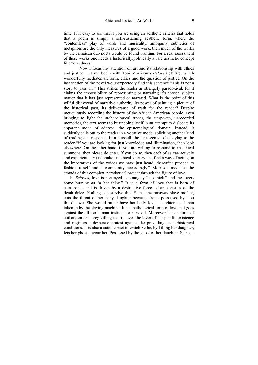time. It is easy to see that if you are using an aesthetic criteria that holds that a poem is simply a self-sustaining aesthetic form, where the "contentless" play of words and musicality, ambiguity, subtleties of metaphors are the only measures of a good work, then much of the works by the Jamaican dub poets would be found wanting. For a real assessment of these works one needs a historically/politically aware aesthetic concept like "dreadness."

 Now I focus my attention on art and its relationship with ethics and justice. Let me begin with Toni Morrison's *Beloved* (1987), which wonderfully mediates art form, ethics and the question of justice. On the last section of the novel we unexpectedly find this sentence "This is not a story to pass on." This strikes the reader as strangely paradoxical, for it claims the impossibility of representing or narrating it's chosen subject matter that it has just represented or narrated. What is the point of this wilful disavowal of narrative authority, its power of painting a picture of the historical past, its deliverance of truth for the reader? Despite meticulously recording the history of the African American people, even bringing to light the archaeological traces, the unspoken, unrecorded memories, the text seems to be undoing itself in an attempt to dislocate its apparent mode of address—the epistemological domain. Instead, it suddenly calls out to the reader in a vocative mode, soliciting another kind of reading and response. In a nutshell, the text seems to be saying to the reader "if you are looking for just knowledge and illumination, then look elsewhere. On the other hand, if you are willing to respond to an ethical summons, then please do enter. If you do so, then each of us can actively and experientially undertake an ethical journey and find a way of acting on the imperatives of the voices we have just heard, thereafter proceed to fashion a self and a community accordingly." Morrison mediates the strands of this complex, paradoxical project through the figure of love.

In *Beloved*, love is portrayed as strangely "too thick," and the lovers come burning as "a hot thing." It is a form of love that is born of catastrophe and is driven by a destructive force—characteristics of the death drive. Nothing can survive this. Sethe, the runaway slave mother, cuts the throat of her baby daughter because she is possessed by "too thick" love. She would rather have her hotly loved daughter dead than taken in by the slaving machine. It is a pathological form of love that goes against the all-too-human instinct for survival. Moreover, it is a form of euthanasia or mercy killing that relieves the lover of her painful existence and registers a desperate protest against the prevailing social/historical conditions. It is also a suicide pact in which Sethe, by killing her daughter, lets her ghost devour her. Possessed by the ghost of her daughter, Sethe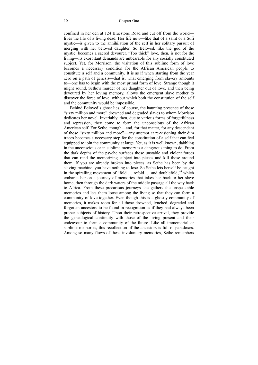confined in her den at 124 Bluestone Road and cut off from the world lives the life of a living dead. Her life now—like that of a saint or a Sufi mystic—is given to the annihilation of the self in her solitary pursuit of merging with her beloved daughter. So Beloved, like the god of the mystic, becomes a sacred devourer. "Too thick" love, then, is not for the living—its exorbitant demands are unbearable for any socially constituted subject. Yet, for Morrison, the visitation of this sublime form of love becomes a necessary condition for the African American people to constitute a self and a community. It is as if when starting from the year zero on a path of genesis—that is, what emerging from slavery amounts to—one has to begin with the most primal form of love. Strange though it might sound, Sethe's murder of her daughter out of love, and then being devoured by her loving memory, allows the emergent slave mother to discover the force of love, without which both the constitution of the self and the community would be impossible.

Behind Beloved's ghost lies, of course, the haunting presence of those "sixty million and more" drowned and degraded slaves to whom Morrison dedicates her novel. Invariably, then, due to various forms of forgetfulness and repression, they come to form the unconscious of the African American self. For Sethe, though—and, for that matter, for any descendant of those "sixty million and more"—any attempt at re-visioning their dim traces becomes a necessary step for the constitution of a self that can feel equipped to join the community at large. Yet, as it is well known, dabbling in the unconscious or in sublime memory is a dangerous thing to do. From the dark depths of the psyche surfaces those unstable and violent forces that can rend the memorizing subject into pieces and kill those around them. If you are already broken into pieces, as Sethe has been by the slaving machine, you have nothing to lose. So Sethe lets herself be caught in the spiralling movement of "fold ... refold ... and doublefold,"<sup>3</sup> which embarks her on a journey of memories that takes her back to her slave home, then through the dark waters of the middle passage all the way back to Africa. From these precarious journeys she gathers the unspeakable memories and lets them loose among the living so that they can form a community of love together. Even though this is a ghostly community of memories, it makes room for all those drowned, lynched, degraded and forgotten ancestors to be found in recognition as if they had always been proper subjects of history. Upon their retrospective arrival, they provide the genealogical continuity with those of the living present and their endeavour to form a community of the future. Like all immemorial or sublime memories, this recollection of the ancestors is full of paradoxes. Among so many flows of these involuntary memories, Sethe remembers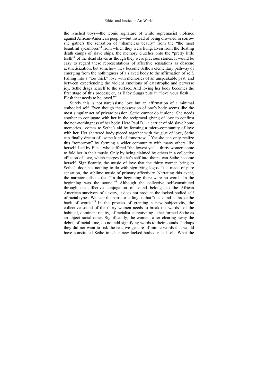the lynched boys—the iconic signature of white supremacist violence against African-American people—but instead of being drowned in sorrow she gathers the sensation of "shameless beauty" from the "the most beautiful sycamores<sup>34</sup> from which they were hung. Even from the floating death camps of slave ships, the memory clutches onto the "pretty little teeth<sup>"5</sup> of the dead slaves as though they were precious stones. It would be easy to regard these representations of affective sensations as obscene aestheticization, but somehow they become Sethe's elementary pathway of emerging from the nothingness of a slaved body to the affirmation of self. Falling into a "too thick" love with memories of an unspeakable past, and between experiencing the violent emotions of catastrophe and perverse joy, Sethe drags herself to the surface. And loving her body becomes the first stage of this process; or, as Baby Suggs puts it: "love your flesh … Flesh that needs to be loved."<sup>6</sup>

Surely this is not narcissistic love but an affirmation of a minimal embodied self. Even though the possession of one's body seems like the most singular act of private passion, Sethe cannot do it alone. She needs another to conjugate with her in the reciprocal giving of love to confirm the non-nothingness of her body. Here Paul D—a carrier of old slave home memories—comes to Sethe's aid by forming a micro-community of love with her. Her shattered body pieced together with the glue of love, Sethe can finally dream of "some kind of tomorrow."7 Yet she can only realize this "tomorrow" by forming a wider community with many others like herself. Led by Ella—who suffered "the lowest yet"—thirty women come to fold her in their music. Only by being claimed by others in a collective effusion of love, which merges Sethe's self into theirs, can Sethe become herself. Significantly, the music of love that the thirty women bring to Sethe's door has nothing to do with signifying logos. It is made of pure sensation, the sublime music of primary affectivity. Narrating this event, the narrator tells us that "In the beginning there were no words. In the beginning was the sound."8 Although the collective self-constituted through the affective conjugation of sound belongs to the African American survivors of slavery, it does not produce the locked-bodied self of racial types. We hear the narrator telling us that "the sound … broke the back of words."9 In the process of granting a new subjectivity, the collective sound of the thirty women needs to break the words—of the habitual, dominant reality, of racialist stereotyping—that formed Sethe as an abject racial other. Significantly, the women, after clearing away the debris of racial time, do not add signifying words to their sounds. Perhaps they did not want to risk the reactive gesture of mimic words that would have constituted Sethe into her new locked-bodied racial self. What the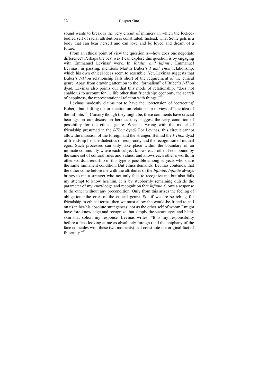sound wants to break is the very circuit of mimicry in which the lockedbodied self of racial attribution is constituted. Instead, what Sethe gets is a body that can bear herself and can love and be loved and dream of a future.

From an ethical point of view the question is—how does one negotiate difference? Perhaps the best way I can explore this question is by engaging with Emmanuel Levinas' work. In *Totality and Infinity*, Emmanuel Levinas, in passing, mentions Martin Buber's *I and Thou* relationship, which his own ethical ideas seem to resemble. Yet, Levinas suggests that Buber's *I-Thou* relationship falls short of the requirement of the ethical genre. Apart from drawing attention to the "formalism" of Buber's *I-Thou* dyad, Levinas also points out that this mode of relationship, "does not enable us to account for … life other than friendship: economy, the search of happiness, the representational relation with things."10

Levinas modestly claims not to have the "pretension of 'correcting' Buber," but shifting the orientation on relationship in view of "the idea of the Infinite."<sup>11</sup> Cursory though they might be, these comments have crucial bearings on our discussion here as they suggest the very condition of possibility for the ethical genre. What is wrong with the model of friendship presumed in the *I-Thou* dyad? For Levinas, this circuit cannot allow the intrusion of the foreign and the stranger. Behind the *I-Thou* dyad of friendship lies the dialectics of reciprocity and the recognition of mutual egos. Such processes can only take place within the boundary of an intimate community where each subject knows each other, feels bound by the same set of cultural rules and values, and knows each other's worth. In other words, friendship of this type is possible among subjects who share the same immanent condition. But ethics demands, Levinas contends, that the other come before me with the attributes of the *Infinite*. *Infinite* always brings to me a stranger who not only fails to recognize me but also fails my attempt to know her/him. It is by stubbornly remaining outside the parameter of my knowledge and recognition that *Infinite* allows a response to the other without any precondition. Only from this arises the feeling of obligation—the crux of the ethical genre. So, if we are searching for friendship in ethical terms, then we must allow the would-be-friend to call on us in her/his absolute strangeness; not as the other self of whom I might have fore-knowledge and recognize, but simply the vacant eyes and blank skin that solicit my response. Levinas writes: "It is my responsibility before a face looking at me as absolutely foreign (and the epiphany of the face coincides with these two moments) that constitute the original fact of fraternity."<sup>12</sup>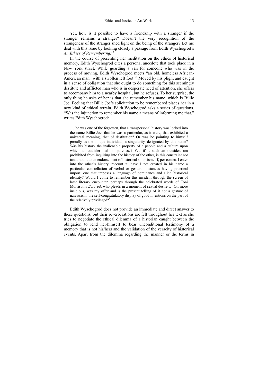Yet, how is it possible to have a friendship with a stranger if the stranger remains a stranger? Doesn't the very recognition of the strangeness of the stranger shed light on the being of the stranger? Let me deal with this issue by looking closely a passage from Edith Wyschogrod's *An Ethics of Remembering.*<sup>13</sup>

In the course of presenting her meditation on the ethics of historical memory, Edith Wyschogrod cites a personal anecdote that took place in a New York street. While guarding a van for someone who was in the process of moving, Edith Wyschogrod meets "an old, homeless African-American man" with a swollen left foot.<sup>14</sup> Moved by his plight and caught in a sense of obligation that she ought to do something for this seemingly destitute and afflicted man who is in desperate need of attention, she offers to accompany him to a nearby hospital, but he refuses. To her surprise, the only thing he asks of her is that she remember his name, which is Billie Joe. Feeling that Billie Joe's solicitation to be remembered places her in a new kind of ethical terrain, Edith Wyschogrod asks a series of questions. "Was the injunction to remember his name a means of informing me that," writes Edith Wyschogrod:

… he was one of the forgotten, that a transpersonal history was locked into the name Billie Joe, that he was a particular, as it were, that exhibited a universal meaning, that of destitution? Or was he pointing to himself proudly as the unique individual, a singularity, designated by this name? Was his history the inalienable property of a people and a culture upon which an outsider had no purchase? Yet, if I, such an outsider, am prohibited from inquiring into the history of the other, is this constraint not tantamount to an endorsement of historical solipsism? If, per contra, I enter into the other's history, recount it, have I not created in his name a particular constellation of verbal or gestural instances having practical import, one that imposes a language of dominance and alien historical identity? Would I come to remember this incident through the screen of later literary encounter, perhaps through the celebrated words of Toni Morrison's *Beloved*, who pleads in a moment of sexual desire … Or, more insidious, was my offer and is the present telling of it not a gesture of narcissism, the self-congratulatory display of good intentions on the part of the relatively privileged?<sup>15</sup>

Edith Wyschogrod does not provide an immediate and direct answer to these questions, but their reverberations are felt throughout her text as she tries to negotiate the ethical dilemma of a historian caught between the obligation to lend her/himself to bear unconditional testimony of a memory that is not his/hers and the validation of the veracity of historical events. Apart from the dilemma regarding the manner or the terms in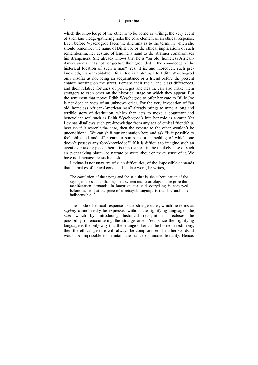which the knowledge of the other is to be borne in writing, the very event of such knowledge-gathering risks the core element of an ethical response. Even before Wyschogrod faces the dilemma as to the terms in which she should remember the name of Billie Joe or the ethical implications of such remembering, her gesture of lending a hand to the stranger compromises his strangeness. She already knows that he is "an old, homeless African-American man." Is not her gesture then grounded in the knowledge of the historical location of such a man? Yes, it is, and moreover, such preknowledge is unavoidable. Billie Joe is a stranger to Edith Wyschogrod only insofar as not being an acquaintance or a friend before the present chance meeting on the street. Perhaps their racial and class differences, and their relative fortunes of privileges and health, can also make them strangers to each other on the historical stage on which they appear. But the sentiment that moves Edith Wyschogrod to offer her care to Billie Joe is not done in view of an unknown other. For the very invocation of "an old, homeless African-American man" already brings to mind a long and terrible story of destitution, which then acts to move a cognizant and benevolent soul such as Edith Wyschogrod's into her role as a carer. Yet Levinas disallows such pre-knowledge from any act of ethical friendship, because if it weren't the case, then the gesture to the other wouldn't be unconditional. We can shift our orientation here and ask "is it possible to feel obligated and offer care to someone or something of which one doesn't possess any fore-knowledge?" If it is difficult to imagine such an event ever taking place, then it is impossible—in the unlikely case of such an event taking place—to narrate or write about or make sense of it. We have no language for such a task.

Levinas is not unaware of such difficulties, of the impossible demands that he makes of ethical conduct. In a late work, he writes,

The correlation of the saying and the said that is, the subordination of the saying to the said, to the linguistic system and to ontology, is the price that manifestation demands. In language qua said everything is conveyed before us, be it at the price of a betrayal, language is ancillary and thus indispensable.<sup>16</sup>

The mode of ethical response to the strange other, which he terms as *saying,* cannot really be expressed without the signifying language—the *said*—which by introducing historical recognition forecloses the possibility of encountering the strange other. Yet, since the signifying language is the only way that the strange other can be borne in testimony, then the ethical gesture will always be compromised. In other words, it would be impossible to maintain the stance of unconditionality. Hence,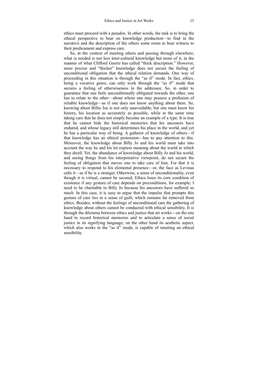ethics must proceed with a paradox. In other words, the task is to bring the ethical perspective to bear on knowledge production—to find in the narrative and the description of the others some room to bear witness to their predicament and express care.

So, in the context of meeting others and passing through elsewhere, what is needed is not less inter-cultural knowledge but more of it, in the manner of what Clifford Geertz has called "thick description." However, more precise and "thicker" knowledge does not secure the feeling of unconditional obligation that the ethical relation demands. One way of proceeding in this situation is through the "as if" mode. In fact, ethics, being a vocative genre, can only work through the "as if" mode that secures a feeling of otherwiseness in the addressee. So, in order to guarantee that one feels unconditionally obligated towards the other, one has to relate to the other—about whom one may possess a profusion of reliable knowledge—as if one does not know anything about them. So, knowing about Billie Joe is not only unavoidable, but one must know his history, his location as accurately as possible, while at the same time taking care that he does not simply become an example of a type. It is true that he cannot hide the historical memories that his ancestors have endured, and whose legacy still determines his place in the world, and yet he has a particular way of being. A gatherer of knowledge of others—if that knowledge has an ethical pretension—has to pay attention to this. Moreover, the knowledge about Billy Jo and his world must take into account the way he and his lot express meaning about the world in which they dwell. Yet, the abundance of knowledge about Billy Jo and his world, and seeing things from his interpretative viewpoint, do not secure the feeling of obligation that moves one to take care of him. For that it is necessary to respond to his elemental presence—or, the face as Levinas calls it—as if he is a stranger. Otherwise, a sense of unconditionality, even though it is virtual, cannot be secured. Ethics loses its core condition of existence if any gesture of care depends on preconditions, for example; I need to be charitable to Billy Jo because his ancestors have suffered so much. In this case, it is easy to argue that the impulse that prompts this gesture of care lies in a sense of guilt, which remains far removed from ethics. Besides, without the feelings of unconditional care the gathering of knowledge about others cannot be conducted with ethical sensibility. It is through the dilemma between ethics and justice that art works—on the one hand to record historical memories and to articulate a sense of social justice in its signifying language; on the other hand its aesthetic aspect, which also works in the "as if" mode, is capable of intuiting an ethical sensibility.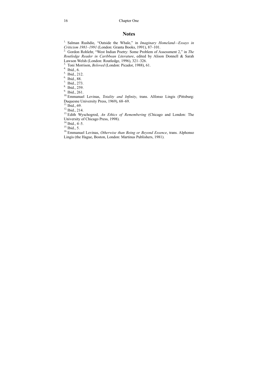#### **Notes**

<sup>1.</sup> Salman Rushdie, "Outside the Whale," in *Imaginary Homeland—Essays in Criticism 1981–1991* (London: Granta Books, 1991), 87–101.

<sup>2</sup> Gordon Rohlehr, "West Indian Poetry: Some Problem of Assessment 2," in *The Routledge Reader in Caribbean Literature*, edited by Alison Donnell & Sarah Lawson Welsh (London: Routledge, 1996), 321–326.<br><sup>3.</sup> Toni Morrison, *Beloved* (London: Picador, 1988), 61.

4. Ibid., 6.<br>
5. Ibid., 212.<br>
6. Ibid., 212.<br>
6. Ibid., 28.<br>
7. Ibid., 273.<br>
8. Ibid., 259.<br>
9. Ibid., 261.<br>
<sup>10</sup> Emmanuel Levinas, *Totality and Infinity*, trans. Alfonso Lingis (Pittsburg: Duquesne University Press, 1969), 68–69.<br><sup>11</sup> Ibid., 69.

<sup>12.</sup>Ibid., 214.<br><sup>13.</sup>Edith Wyschogrod, *An Ethics of Remembering* (Chicago and London: The University of Chicago Press, 1998).<br><sup>14</sup> Ibid., 4–5.

15. Ibid., 5.<br><sup>15.</sup> Ibid., 5. 16. Emmanuel Levinas, *Otherwise than Being or Beyond Essence*, trans. Alphonso Lingis (the Hague, Boston, London: Martinus Publishers, 1981).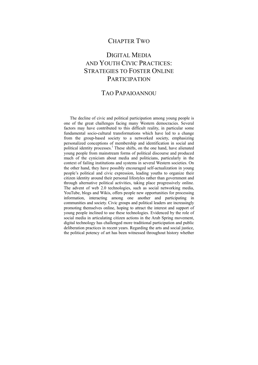## CHAPTER TWO

# DIGITAL MEDIA AND YOUTH CIVIC PRACTICES: STRATEGIES TO FOSTER ONLINE **PARTICIPATION**

## TAO PAPAIOANNOU

The decline of civic and political participation among young people is one of the great challenges facing many Western democracies. Several factors may have contributed to this difficult reality, in particular some fundamental socio-cultural transformations which have led to a change from the group-based society to a networked society, emphasizing personalized conceptions of membership and identification in social and political identity processes.<sup>1</sup> These shifts, on the one hand, have alienated young people from mainstream forms of political discourse and produced much of the cynicism about media and politicians, particularly in the context of failing institutions and systems in several Western societies. On the other hand, they have possibly encouraged self-actualization in young people's political and civic expression, leading youths to organize their citizen identity around their personal lifestyles rather than government and through alternative political activities, taking place progressively online. The advent of web 2.0 technologies, such as social networking media, YouTube, blogs and Wikis, offers people new opportunities for processing information, interacting among one another and participating in communities and society. Civic groups and political leaders are increasingly promoting themselves online, hoping to attract the interest and support of young people inclined to use these technologies. Evidenced by the role of social media in articulating citizen actions in the Arab Spring movement, digital technology has challenged more traditional participation and public deliberation practices in recent years. Regarding the arts and social justice, the political potency of art has been witnessed throughout history whether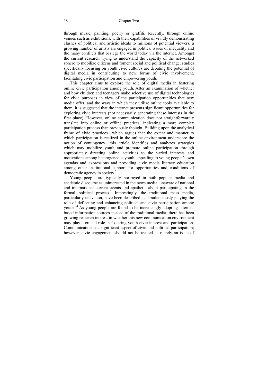#### 18 Chapter Two

through music, painting, poetry or graffiti. Recently, through online venues such as exhibitions, with their capabilities of vividly demonstrating clashes of political and artistic ideals to millions of potential viewers, a growing number of artists are engaged in politics, issues of inequality and the many conflicts that besiege the world today via the internet. Amongst the current research trying to understand the capacity of the networked sphere to mobilize citizens and foment social and political change, studies specifically focusing on youth civic cultures are debating the potential of digital media in contributing to new forms of civic involvement, facilitating civic participation and empowering youth.

This chapter aims to explore the role of digital media in fostering online civic participation among youth. After an examination of whether and how children and teenagers make selective use of digital technologies for civic purposes in view of the participation opportunities that new media offer, and the ways in which they utilize online tools available to them, it is suggested that the internet presents significant opportunities for exploring civic interests (not necessarily generating these interests in the first place). However, online communication does not straightforwardly translate into online or offline practices, indicating a more complex participation process than previously thought. Building upon the analytical frame of civic practices—which argues that the extent and manner to which participation is realized in the online environment underscore the notion of contingency—this article identifies and analyzes strategies which may mobilize youth and promote online participation through appropriately directing online activities to the varied interests and motivations among heterogeneous youth, appealing to young people's own agendas and expressions and providing civic media literacy education among other institutional support for opportunities and conditions of democratic agency in society. $2$ 

Young people are typically portrayed in both popular media and academic discourse as uninterested in the news media, unaware of national and international current events and apathetic about participating in the formal political process.<sup>3</sup> Interestingly, the traditional mass media, particularly television, have been described as simultaneously playing the role of deflecting and enhancing political and civic participation among youths.<sup>4</sup> As young people are found to be increasingly adopting internetbased information sources instead of the traditional media, there has been growing research interest in whether this new communication environment may play a crucial role in fostering youth civic interest and participation. Communication is a significant aspect of civic and political participation; however, civic engagement should not be treated as merely an issue of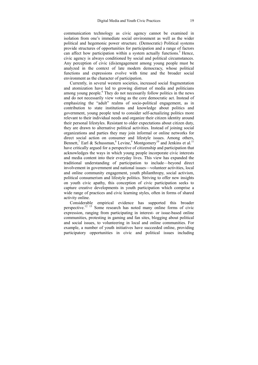communication technology as civic agency cannot be examined in isolation from one's immediate social environment as well as the wider political and hegemonic power structure. (Democratic) Political systems provide structures of opportunities for participation and a range of factors can affect how participation within a system actually functions.<sup>5</sup> Hence, civic agency is always conditioned by social and political circumstances. Any perception of civic (dis)engagement among young people must be analyzed in the context of late modern democracy, whose political functions and expressions evolve with time and the broader social environment as the character of participation.

Currently, in several western societies, increased social fragmentation and atomization have led to growing distrust of media and politicians among young people.<sup>6</sup> They do not necessarily follow politics in the news and do not necessarily view voting as the core democratic act. Instead of emphasizing the "adult" realms of socio-political engagement, as in contribution to state institutions and knowledge about politics and government, young people tend to consider self-actualizing politics more relevant to their individual needs and organize their citizen identity around their personal lifestyles. Resistant to older expectations about citizen duty, they are drawn to alternative political activities. Instead of joining social organizations and parties they may join informal or online networks for direct social action on consumer and lifestyle issues. Among others, Bennett,<sup>7</sup> Earl & Schussman,<sup>8</sup> Levine,<sup>9</sup> Montgomery<sup>10</sup> and Jenkins et al.<sup>11</sup> have critically argued for a perspective of citizenship and participation that acknowledges the ways in which young people incorporate civic interests and media content into their everyday lives. This view has expanded the traditional understanding of participation to include—beyond direct involvement in government and national issues—volunteer activities, local and online community engagement, youth philanthropy, social activism, political consumerism and lifestyle politics. Striving to offer new insights on youth civic apathy, this conception of civic participation seeks to capture creative developments in youth participation which comprise a wide range of practices and civic learning styles, often in forms of shared activity online.

Considerable empirical evidence has supported this broader perspective.12 13 Some research has noted many online forms of civic expression, ranging from participating in interest- or issue-based online communities, protesting in gaming and fan sites, blogging about political and social issues, to volunteering in local and online communities. For example, a number of youth initiatives have succeeded online, providing participatory opportunities in civic and political issues including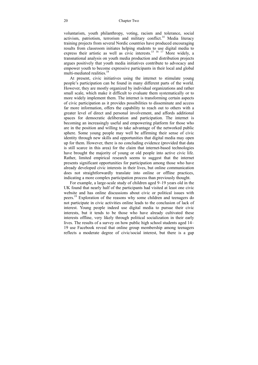voluntarism, youth philanthropy, voting, racism and tolerance, social activism, patriotism, terrorism and military conflict.<sup>14</sup> Media literacy training projects from several Nordic countries have produced encouraging results from classroom initiates helping students to use digital media to express their artistic as well as civic interests.<sup>15 16 17</sup> More widely, a transnational analysis on youth media production and distribution projects argues positively that youth media initiatives contribute to advocacy and empower youth to become expressive participants in their local and global multi-mediated realities. $18$ 

At present, civic initiatives using the internet to stimulate young people's participation can be found in many different parts of the world. However, they are mostly organized by individual organizations and rather small scale, which make it difficult to evaluate them systematically or to more widely implement them. The internet is transforming certain aspects of civic participation as it provides possibilities to disseminate and access far more information, offers the capability to reach out to others with a greater level of direct and personal involvement, and affords additional spaces for democratic deliberation and participation. The internet is becoming an increasingly useful and empowering platform for those who are in the position and willing to take advantage of the networked public sphere. Some young people may well be affirming their sense of civic identity through new skills and opportunities that digital media may open up for them. However, there is no concluding evidence (provided that data is still scarce in this area) for the claim that internet-based technologies have brought the majority of young or old people into active civic life. Rather, limited empirical research seems to suggest that the internet presents significant opportunities for participation among those who have already developed civic interests in their lives, but online communication does not straightforwardly translate into online or offline practices, indicating a more complex participation process than previously thought.

For example, a large-scale study of children aged 9–19 years old in the UK found that nearly half of the participants had visited at least one civic website and has online discussions about civic or political issues with peers.19 Exploration of the reasons why some children and teenagers do not participate in civic activities online leads to the conclusion of lack of interest. Young people indeed use digital media to pursue their civic interests, but it tends to be those who have already cultivated these interests offline, very likely through political socialization in their early lives. The results of a survey on how public high school students aged 14– 19 use Facebook reveal that online group membership among teenagers reflects a moderate degree of civic/social interest, but there is a gap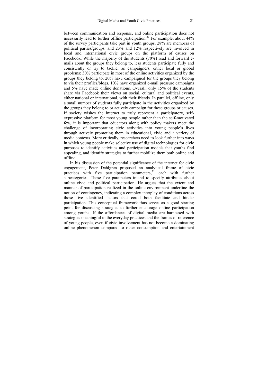between communication and response, and online participation does not necessarily lead to further offline participation.<sup>20</sup> For example, about  $44\%$ of the survey participants take part in youth groups, 28% are members of political parties/groups, and 23% and 12% respectively are involved in local and international civic groups on the platform of causes on Facebook. While the majority of the students (70%) read and forward emails about the groups they belong to, less students participate fully and consistently or try to tackle, as campaigners, either local or global problems: 30% participate in most of the online activities organized by the groups they belong to, 20% have campaigned for the groups they belong to via their profiles/blogs, 10% have organized e-mail pressure campaigns and 5% have made online donations. Overall, only 15% of the students share via Facebook their views on social, cultural and political events, either national or international, with their friends. In parallel, offline, only a small number of students fully participate in the activities organized by the groups they belong to or actively campaign for these groups or causes. If society wishes the internet to truly represent a participatory, selfexpressive platform for most young people rather than the self-motivated few, it is important that educators along with policy makers meet the challenge of incorporating civic activities into young people's lives through actively promoting them in educational, civic and a variety of media contexts. More critically, researchers need to look further into ways in which young people make selective use of digital technologies for civic purposes to identify activities and participation models that youths find appealing, and identify strategies to further mobilize them both online and offline.

In his discussion of the potential significance of the internet for civic engagement, Peter Dahlgren proposed an analytical frame of civic practices with five participation parameters, $2^1$  each with further subcategories. These five parameters intend to specify attributes about online civic and political participation. He argues that the extent and manner of participation realized in the online environment underline the notion of contingency, indicating a complex interplay of conditions across those five identified factors that could both facilitate and hinder participation. This conceptual framework thus serves as a good starting point for discussing strategies to further encourage online participation among youths. If the affordances of digital media are harnessed with strategies meaningful to the everyday practices and the frames of reference of young people, even if civic involvement has not become a dominating online phenomenon compared to other consumption and entertainment